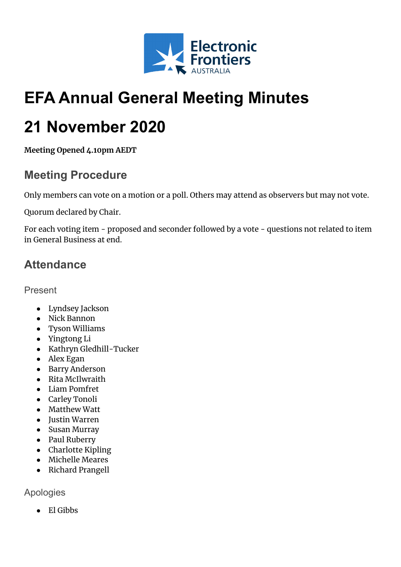

# **EFA Annual General Meeting Minutes**

# **21 November 2020**

**Meeting Opened 4.10pm AEDT**

### **Meeting Procedure**

Only members can vote on a motion or a poll. Others may attend as observers but may not vote.

Quorum declared by Chair.

For each voting item - proposed and seconder followed by a vote - questions not related to item in General Business at end.

# **Attendance**

Present

- Lyndsey Jackson
- Nick Bannon
- Tyson Williams
- Yingtong Li
- Kathryn Gledhill-Tucker
- Alex Egan
- Barry Anderson
- Rita McIlwraith
- Liam Pomfret
- Carley Tonoli
- Matthew Watt
- Justin Warren
- Susan Murray
- Paul Ruberry
- Charlotte Kipling
- Michelle Meares
- Richard Prangell

Apologies

● El Gibbs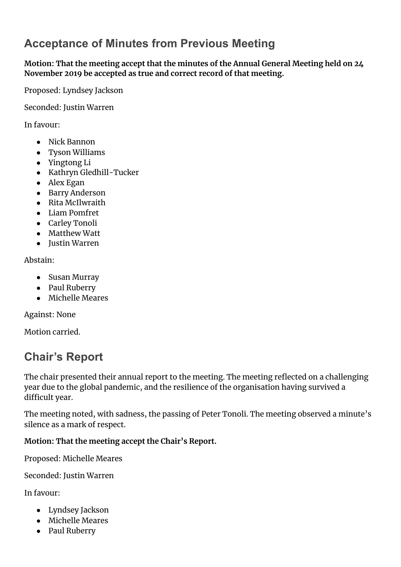# **Acceptance of Minutes from Previous Meeting**

**Motion: That the meeting accept that the minutes of the Annual General Meeting held on 24 November 2019 be accepted as true and correct record of that meeting.**

Proposed: Lyndsey Jackson

Seconded: Justin Warren

In favour:

- Nick Bannon
- Tyson Williams
- Yingtong Li
- Kathryn Gledhill-Tucker
- Alex Egan
- Barry Anderson
- Rita McIlwraith
- Liam Pomfret
- Carley Tonoli
- Matthew Watt
- Justin Warren

Abstain:

- Susan Murray
- Paul Ruberry
- Michelle Meares

Against: None

Motion carried.

### **Chair's Report**

The chair presented their annual report to the meeting. The meeting reflected on a challenging year due to the global pandemic, and the resilience of the organisation having survived a difficult year.

The meeting noted, with sadness, the passing of Peter Tonoli. The meeting observed a minute's silence as a mark of respect.

#### **Motion: That the meeting accept the Chair's Report.**

Proposed: Michelle Meares

Seconded: Justin Warren

In favour:

- Lyndsey Jackson
- Michelle Meares
- Paul Ruberry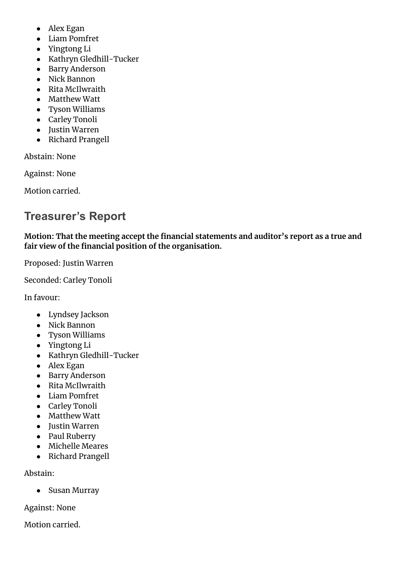- Alex Egan
- Liam Pomfret
- Yingtong Li
- Kathryn Gledhill-Tucker
- Barry Anderson
- Nick Bannon
- Rita McIlwraith
- Matthew Watt
- Tyson Williams
- Carley Tonoli
- Justin Warren
- Richard Prangell

Abstain: None

Against: None

Motion carried.

# **Treasurer's Report**

**Motion: That the meeting accept the financial statements and auditor's report as a true and fair view of the financial position of the organisation.**

Proposed: Justin Warren

Seconded: Carley Tonoli

In favour:

- Lyndsey Jackson
- Nick Bannon
- Tyson Williams
- Yingtong Li
- Kathryn Gledhill-Tucker
- Alex Egan
- Barry Anderson
- Rita McIlwraith
- Liam Pomfret
- Carley Tonoli
- Matthew Watt
- Justin Warren
- Paul Ruberry
- Michelle Meares
- Richard Prangell

Abstain:

● Susan Murray

Against: None

Motion carried.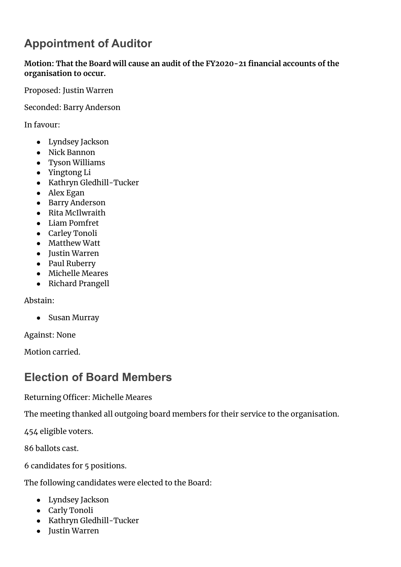# **Appointment of Auditor**

**Motion: That the Board will cause an audit of the FY2020-21 financial accounts of the organisation to occur.**

Proposed: Justin Warren

Seconded: Barry Anderson

In favour:

- Lyndsey Jackson
- Nick Bannon
- Tyson Williams
- Yingtong Li
- Kathryn Gledhill-Tucker
- Alex Egan
- Barry Anderson
- Rita McIlwraith
- Liam Pomfret
- Carley Tonoli
- Matthew Watt
- Justin Warren
- Paul Ruberry
- Michelle Meares
- Richard Prangell

Abstain:

● Susan Murray

Against: None

Motion carried.

### **Election of Board Members**

Returning Officer: Michelle Meares

The meeting thanked all outgoing board members for their service to the organisation.

454 eligible voters.

86 ballots cast.

6 candidates for 5 positions.

The following candidates were elected to the Board:

- Lyndsey Jackson
- Carly Tonoli
- Kathryn Gledhill-Tucker
- Justin Warren